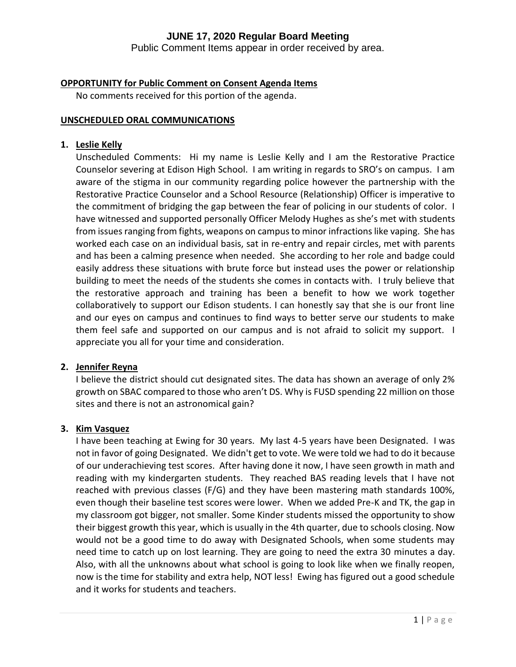Public Comment Items appear in order received by area.

#### **OPPORTUNITY for Public Comment on Consent Agenda Items**

No comments received for this portion of the agenda.

#### **UNSCHEDULED ORAL COMMUNICATIONS**

#### **1. Leslie Kelly**

Unscheduled Comments: Hi my name is Leslie Kelly and I am the Restorative Practice Counselor severing at Edison High School. I am writing in regards to SRO's on campus. I am aware of the stigma in our community regarding police however the partnership with the Restorative Practice Counselor and a School Resource (Relationship) Officer is imperative to the commitment of bridging the gap between the fear of policing in our students of color. I have witnessed and supported personally Officer Melody Hughes as she's met with students from issues ranging from fights, weapons on campus to minor infractions like vaping. She has worked each case on an individual basis, sat in re-entry and repair circles, met with parents and has been a calming presence when needed. She according to her role and badge could easily address these situations with brute force but instead uses the power or relationship building to meet the needs of the students she comes in contacts with. I truly believe that the restorative approach and training has been a benefit to how we work together collaboratively to support our Edison students. I can honestly say that she is our front line and our eyes on campus and continues to find ways to better serve our students to make them feel safe and supported on our campus and is not afraid to solicit my support. I appreciate you all for your time and consideration.

#### **2. Jennifer Reyna**

I believe the district should cut designated sites. The data has shown an average of only 2% growth on SBAC compared to those who aren't DS. Why is FUSD spending 22 million on those sites and there is not an astronomical gain?

#### **3. Kim Vasquez**

I have been teaching at Ewing for 30 years. My last 4-5 years have been Designated. I was not in favor of going Designated. We didn't get to vote. We were told we had to do it because of our underachieving test scores. After having done it now, I have seen growth in math and reading with my kindergarten students. They reached BAS reading levels that I have not reached with previous classes (F/G) and they have been mastering math standards 100%, even though their baseline test scores were lower. When we added Pre-K and TK, the gap in my classroom got bigger, not smaller. Some Kinder students missed the opportunity to show their biggest growth this year, which is usually in the 4th quarter, due to schools closing. Now would not be a good time to do away with Designated Schools, when some students may need time to catch up on lost learning. They are going to need the extra 30 minutes a day. Also, with all the unknowns about what school is going to look like when we finally reopen, now is the time for stability and extra help, NOT less! Ewing has figured out a good schedule and it works for students and teachers.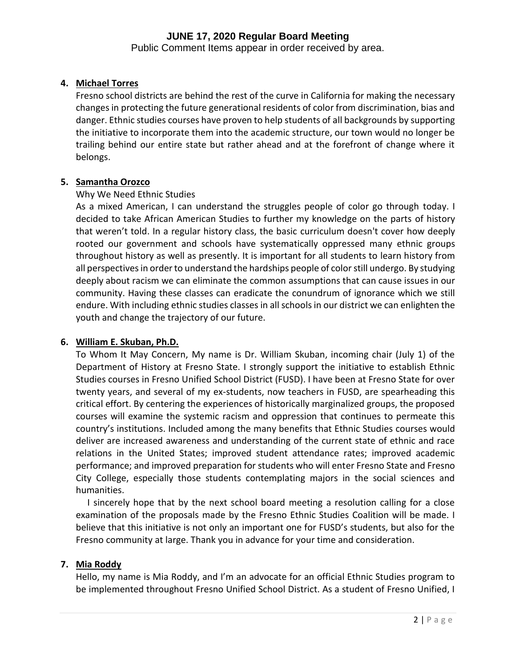Public Comment Items appear in order received by area.

#### **4. Michael Torres**

Fresno school districts are behind the rest of the curve in California for making the necessary changes in protecting the future generational residents of color from discrimination, bias and danger. Ethnic studies courses have proven to help students of all backgrounds by supporting the initiative to incorporate them into the academic structure, our town would no longer be trailing behind our entire state but rather ahead and at the forefront of change where it belongs.

#### **5. Samantha Orozco**

#### Why We Need Ethnic Studies

As a mixed American, I can understand the struggles people of color go through today. I decided to take African American Studies to further my knowledge on the parts of history that weren't told. In a regular history class, the basic curriculum doesn't cover how deeply rooted our government and schools have systematically oppressed many ethnic groups throughout history as well as presently. It is important for all students to learn history from all perspectives in order to understand the hardships people of color still undergo. By studying deeply about racism we can eliminate the common assumptions that can cause issues in our community. Having these classes can eradicate the conundrum of ignorance which we still endure. With including ethnic studies classes in all schools in our district we can enlighten the youth and change the trajectory of our future.

#### **6. William E. Skuban, Ph.D.**

To Whom It May Concern, My name is Dr. William Skuban, incoming chair (July 1) of the Department of History at Fresno State. I strongly support the initiative to establish Ethnic Studies courses in Fresno Unified School District (FUSD). I have been at Fresno State for over twenty years, and several of my ex-students, now teachers in FUSD, are spearheading this critical effort. By centering the experiences of historically marginalized groups, the proposed courses will examine the systemic racism and oppression that continues to permeate this country's institutions. Included among the many benefits that Ethnic Studies courses would deliver are increased awareness and understanding of the current state of ethnic and race relations in the United States; improved student attendance rates; improved academic performance; and improved preparation for students who will enter Fresno State and Fresno City College, especially those students contemplating majors in the social sciences and humanities.

 I sincerely hope that by the next school board meeting a resolution calling for a close examination of the proposals made by the Fresno Ethnic Studies Coalition will be made. I believe that this initiative is not only an important one for FUSD's students, but also for the Fresno community at large. Thank you in advance for your time and consideration.

#### **7. Mia Roddy**

Hello, my name is Mia Roddy, and I'm an advocate for an official Ethnic Studies program to be implemented throughout Fresno Unified School District. As a student of Fresno Unified, I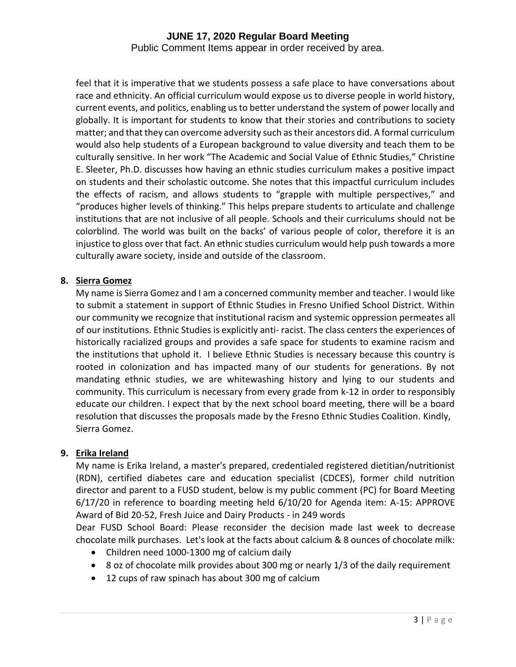Public Comment Items appear in order received by area.

feel that it is imperative that we students possess a safe place to have conversations about race and ethnicity. An official curriculum would expose us to diverse people in world history, current events, and politics, enabling us to better understand the system of power locally and globally. It is important for students to know that their stories and contributions to society matter; and that they can overcome adversity such as their ancestors did. A formal curriculum would also help students of a European background to value diversity and teach them to be culturally sensitive. In her work "The Academic and Social Value of Ethnic Studies," Christine E. Sleeter, Ph.D. discusses how having an ethnic studies curriculum makes a positive impact on students and their scholastic outcome. She notes that this impactful curriculum includes the effects of racism, and allows students to "grapple with multiple perspectives," and "produces higher levels of thinking." This helps prepare students to articulate and challenge institutions that are not inclusive of all people. Schools and their curriculums should not be colorblind. The world was built on the backs' of various people of color, therefore it is an injustice to gloss over that fact. An ethnic studies curriculum would help push towards a more culturally aware society, inside and outside of the classroom.

#### **8. Sierra Gomez**

My name is Sierra Gomez and I am a concerned community member and teacher. I would like to submit a statement in support of Ethnic Studies in Fresno Unified School District. Within our community we recognize that institutional racism and systemic oppression permeates all of our institutions. Ethnic Studies is explicitly anti- racist. The class centers the experiences of historically racialized groups and provides a safe space for students to examine racism and the institutions that uphold it. I believe Ethnic Studies is necessary because this country is rooted in colonization and has impacted many of our students for generations. By not mandating ethnic studies, we are whitewashing history and lying to our students and community. This curriculum is necessary from every grade from k-12 in order to responsibly educate our children. I expect that by the next school board meeting, there will be a board resolution that discusses the proposals made by the Fresno Ethnic Studies Coalition. Kindly, Sierra Gomez.

#### **9. Erika Ireland**

My name is Erika Ireland, a master's prepared, credentialed registered dietitian/nutritionist (RDN), certified diabetes care and education specialist (CDCES), former child nutrition director and parent to a FUSD student, below is my public comment (PC) for Board Meeting 6/17/20 in reference to boarding meeting held 6/10/20 for Agenda item: A-15: APPROVE Award of Bid 20-52, Fresh Juice and Dairy Products - in 249 words

Dear FUSD School Board: Please reconsider the decision made last week to decrease chocolate milk purchases. Let's look at the facts about calcium & 8 ounces of chocolate milk:

- Children need 1000-1300 mg of calcium daily
- 8 oz of chocolate milk provides about 300 mg or nearly 1/3 of the daily requirement
- 12 cups of raw spinach has about 300 mg of calcium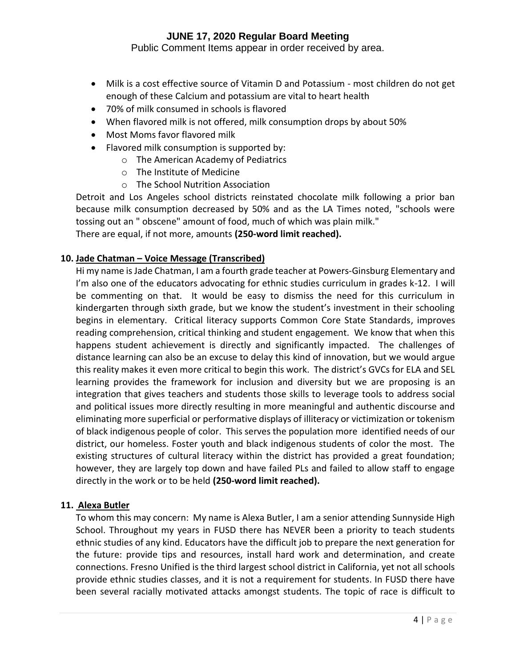Public Comment Items appear in order received by area.

- Milk is a cost effective source of Vitamin D and Potassium most children do not get enough of these Calcium and potassium are vital to heart health
- 70% of milk consumed in schools is flavored
- When flavored milk is not offered, milk consumption drops by about 50%
- Most Moms favor flavored milk
- Flavored milk consumption is supported by:
	- o The American Academy of Pediatrics
	- o The Institute of Medicine
	- o The School Nutrition Association

Detroit and Los Angeles school districts reinstated chocolate milk following a prior ban because milk consumption decreased by 50% and as the LA Times noted, "schools were tossing out an " obscene" amount of food, much of which was plain milk." There are equal, if not more, amounts **(250-word limit reached).**

#### **10. Jade Chatman – Voice Message (Transcribed)**

Hi my name is Jade Chatman, I am a fourth grade teacher at Powers-Ginsburg Elementary and I'm also one of the educators advocating for ethnic studies curriculum in grades k-12. I will be commenting on that. It would be easy to dismiss the need for this curriculum in kindergarten through sixth grade, but we know the student's investment in their schooling begins in elementary. Critical literacy supports Common Core State Standards, improves reading comprehension, critical thinking and student engagement. We know that when this happens student achievement is directly and significantly impacted. The challenges of distance learning can also be an excuse to delay this kind of innovation, but we would argue this reality makes it even more critical to begin this work. The district's GVCs for ELA and SEL learning provides the framework for inclusion and diversity but we are proposing is an integration that gives teachers and students those skills to leverage tools to address social and political issues more directly resulting in more meaningful and authentic discourse and eliminating more superficial or performative displays of illiteracy or victimization or tokenism of black indigenous people of color. This serves the population more identified needs of our district, our homeless. Foster youth and black indigenous students of color the most. The existing structures of cultural literacy within the district has provided a great foundation; however, they are largely top down and have failed PLs and failed to allow staff to engage directly in the work or to be held **(250-word limit reached).**

#### **11. Alexa Butler**

To whom this may concern: My name is Alexa Butler, I am a senior attending Sunnyside High School. Throughout my years in FUSD there has NEVER been a priority to teach students ethnic studies of any kind. Educators have the difficult job to prepare the next generation for the future: provide tips and resources, install hard work and determination, and create connections. Fresno Unified is the third largest school district in California, yet not all schools provide ethnic studies classes, and it is not a requirement for students. In FUSD there have been several racially motivated attacks amongst students. The topic of race is difficult to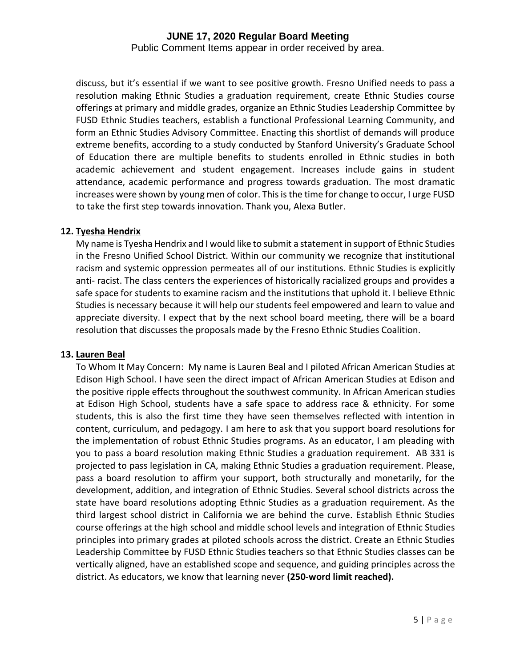Public Comment Items appear in order received by area.

discuss, but it's essential if we want to see positive growth. Fresno Unified needs to pass a resolution making Ethnic Studies a graduation requirement, create Ethnic Studies course offerings at primary and middle grades, organize an Ethnic Studies Leadership Committee by FUSD Ethnic Studies teachers, establish a functional Professional Learning Community, and form an Ethnic Studies Advisory Committee. Enacting this shortlist of demands will produce extreme benefits, according to a study conducted by Stanford University's Graduate School of Education there are multiple benefits to students enrolled in Ethnic studies in both academic achievement and student engagement. Increases include gains in student attendance, academic performance and progress towards graduation. The most dramatic increases were shown by young men of color. This is the time for change to occur, I urge FUSD to take the first step towards innovation. Thank you, Alexa Butler.

#### **12. Tyesha Hendrix**

My name is Tyesha Hendrix and I would like to submit a statement in support of Ethnic Studies in the Fresno Unified School District. Within our community we recognize that institutional racism and systemic oppression permeates all of our institutions. Ethnic Studies is explicitly anti- racist. The class centers the experiences of historically racialized groups and provides a safe space for students to examine racism and the institutions that uphold it. I believe Ethnic Studies is necessary because it will help our students feel empowered and learn to value and appreciate diversity. I expect that by the next school board meeting, there will be a board resolution that discusses the proposals made by the Fresno Ethnic Studies Coalition.

#### **13. Lauren Beal**

To Whom It May Concern: My name is Lauren Beal and I piloted African American Studies at Edison High School. I have seen the direct impact of African American Studies at Edison and the positive ripple effects throughout the southwest community. In African American studies at Edison High School, students have a safe space to address race & ethnicity. For some students, this is also the first time they have seen themselves reflected with intention in content, curriculum, and pedagogy. I am here to ask that you support board resolutions for the implementation of robust Ethnic Studies programs. As an educator, I am pleading with you to pass a board resolution making Ethnic Studies a graduation requirement. AB 331 is projected to pass legislation in CA, making Ethnic Studies a graduation requirement. Please, pass a board resolution to affirm your support, both structurally and monetarily, for the development, addition, and integration of Ethnic Studies. Several school districts across the state have board resolutions adopting Ethnic Studies as a graduation requirement. As the third largest school district in California we are behind the curve. Establish Ethnic Studies course offerings at the high school and middle school levels and integration of Ethnic Studies principles into primary grades at piloted schools across the district. Create an Ethnic Studies Leadership Committee by FUSD Ethnic Studies teachers so that Ethnic Studies classes can be vertically aligned, have an established scope and sequence, and guiding principles across the district. As educators, we know that learning never **(250-word limit reached).**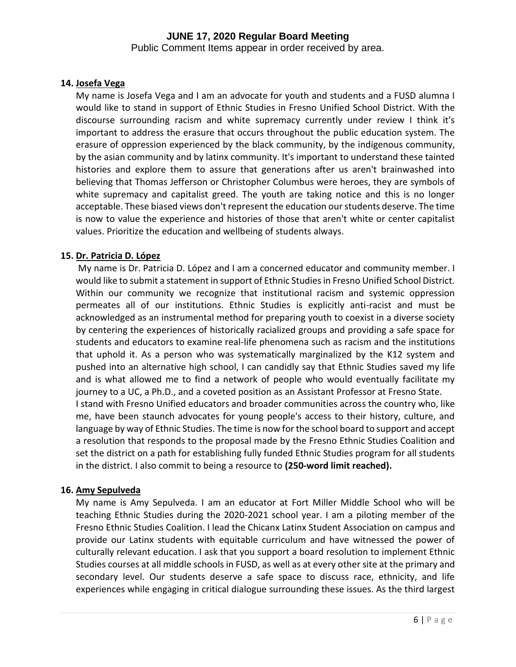Public Comment Items appear in order received by area.

### **14. Josefa Vega**

My name is Josefa Vega and I am an advocate for youth and students and a FUSD alumna I would like to stand in support of Ethnic Studies in Fresno Unified School District. With the discourse surrounding racism and white supremacy currently under review I think it's important to address the erasure that occurs throughout the public education system. The erasure of oppression experienced by the black community, by the indigenous community, by the asian community and by latinx community. It's important to understand these tainted histories and explore them to assure that generations after us aren't brainwashed into believing that Thomas Jefferson or Christopher Columbus were heroes, they are symbols of white supremacy and capitalist greed. The youth are taking notice and this is no longer acceptable. These biased views don't represent the education our students deserve. The time is now to value the experience and histories of those that aren't white or center capitalist values. Prioritize the education and wellbeing of students always.

#### **15. Dr. Patricia D. López**

My name is Dr. Patricia D. López and I am a concerned educator and community member. I would like to submit a statement in support of Ethnic Studies in Fresno Unified School District. Within our community we recognize that institutional racism and systemic oppression permeates all of our institutions. Ethnic Studies is explicitly anti-racist and must be acknowledged as an instrumental method for preparing youth to coexist in a diverse society by centering the experiences of historically racialized groups and providing a safe space for students and educators to examine real-life phenomena such as racism and the institutions that uphold it. As a person who was systematically marginalized by the K12 system and pushed into an alternative high school, I can candidly say that Ethnic Studies saved my life and is what allowed me to find a network of people who would eventually facilitate my journey to a UC, a Ph.D., and a coveted position as an Assistant Professor at Fresno State. I stand with Fresno Unified educators and broader communities across the country who, like me, have been staunch advocates for young people's access to their history, culture, and language by way of Ethnic Studies. The time is now for the school board to support and accept a resolution that responds to the proposal made by the Fresno Ethnic Studies Coalition and set the district on a path for establishing fully funded Ethnic Studies program for all students in the district. I also commit to being a resource to **(250-word limit reached).**

#### **16. Amy Sepulveda**

My name is Amy Sepulveda. I am an educator at Fort Miller Middle School who will be teaching Ethnic Studies during the 2020-2021 school year. I am a piloting member of the Fresno Ethnic Studies Coalition. I lead the Chicanx Latinx Student Association on campus and provide our Latinx students with equitable curriculum and have witnessed the power of culturally relevant education. I ask that you support a board resolution to implement Ethnic Studies courses at all middle schools in FUSD, as well as at every other site at the primary and secondary level. Our students deserve a safe space to discuss race, ethnicity, and life experiences while engaging in critical dialogue surrounding these issues. As the third largest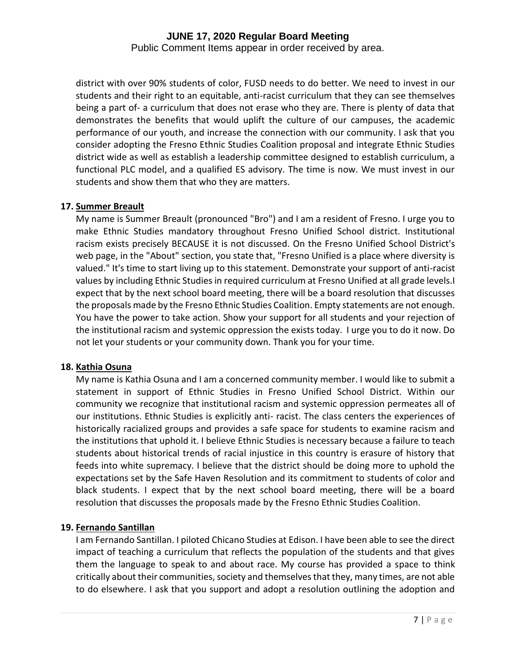Public Comment Items appear in order received by area.

district with over 90% students of color, FUSD needs to do better. We need to invest in our students and their right to an equitable, anti-racist curriculum that they can see themselves being a part of- a curriculum that does not erase who they are. There is plenty of data that demonstrates the benefits that would uplift the culture of our campuses, the academic performance of our youth, and increase the connection with our community. I ask that you consider adopting the Fresno Ethnic Studies Coalition proposal and integrate Ethnic Studies district wide as well as establish a leadership committee designed to establish curriculum, a functional PLC model, and a qualified ES advisory. The time is now. We must invest in our students and show them that who they are matters.

#### **17. Summer Breault**

My name is Summer Breault (pronounced "Bro") and I am a resident of Fresno. I urge you to make Ethnic Studies mandatory throughout Fresno Unified School district. Institutional racism exists precisely BECAUSE it is not discussed. On the Fresno Unified School District's web page, in the "About" section, you state that, "Fresno Unified is a place where diversity is valued." It's time to start living up to this statement. Demonstrate your support of anti-racist values by including Ethnic Studies in required curriculum at Fresno Unified at all grade levels.I expect that by the next school board meeting, there will be a board resolution that discusses the proposals made by the Fresno Ethnic Studies Coalition. Empty statements are not enough. You have the power to take action. Show your support for all students and your rejection of the institutional racism and systemic oppression the exists today. I urge you to do it now. Do not let your students or your community down. Thank you for your time.

#### **18. Kathia Osuna**

My name is Kathia Osuna and I am a concerned community member. I would like to submit a statement in support of Ethnic Studies in Fresno Unified School District. Within our community we recognize that institutional racism and systemic oppression permeates all of our institutions. Ethnic Studies is explicitly anti- racist. The class centers the experiences of historically racialized groups and provides a safe space for students to examine racism and the institutions that uphold it. I believe Ethnic Studies is necessary because a failure to teach students about historical trends of racial injustice in this country is erasure of history that feeds into white supremacy. I believe that the district should be doing more to uphold the expectations set by the Safe Haven Resolution and its commitment to students of color and black students. I expect that by the next school board meeting, there will be a board resolution that discusses the proposals made by the Fresno Ethnic Studies Coalition.

### **19. Fernando Santillan**

I am Fernando Santillan. I piloted Chicano Studies at Edison. I have been able to see the direct impact of teaching a curriculum that reflects the population of the students and that gives them the language to speak to and about race. My course has provided a space to think critically about their communities, society and themselves that they, many times, are not able to do elsewhere. I ask that you support and adopt a resolution outlining the adoption and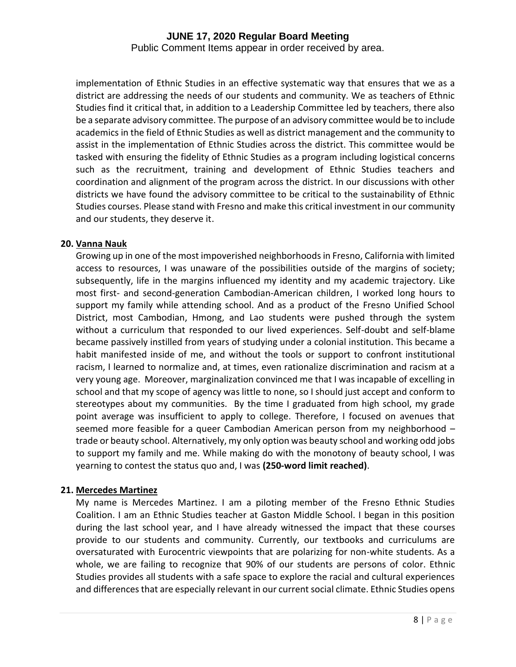Public Comment Items appear in order received by area.

implementation of Ethnic Studies in an effective systematic way that ensures that we as a district are addressing the needs of our students and community. We as teachers of Ethnic Studies find it critical that, in addition to a Leadership Committee led by teachers, there also be a separate advisory committee. The purpose of an advisory committee would be to include academics in the field of Ethnic Studies as well as district management and the community to assist in the implementation of Ethnic Studies across the district. This committee would be tasked with ensuring the fidelity of Ethnic Studies as a program including logistical concerns such as the recruitment, training and development of Ethnic Studies teachers and coordination and alignment of the program across the district. In our discussions with other districts we have found the advisory committee to be critical to the sustainability of Ethnic Studies courses. Please stand with Fresno and make this critical investment in our community and our students, they deserve it.

#### **20. Vanna Nauk**

Growing up in one of the most impoverished neighborhoods in Fresno, California with limited access to resources, I was unaware of the possibilities outside of the margins of society; subsequently, life in the margins influenced my identity and my academic trajectory. Like most first- and second-generation Cambodian-American children, I worked long hours to support my family while attending school. And as a product of the Fresno Unified School District, most Cambodian, Hmong, and Lao students were pushed through the system without a curriculum that responded to our lived experiences. Self-doubt and self-blame became passively instilled from years of studying under a colonial institution. This became a habit manifested inside of me, and without the tools or support to confront institutional racism, I learned to normalize and, at times, even rationalize discrimination and racism at a very young age. Moreover, marginalization convinced me that I was incapable of excelling in school and that my scope of agency was little to none, so I should just accept and conform to stereotypes about my communities. By the time I graduated from high school, my grade point average was insufficient to apply to college. Therefore, I focused on avenues that seemed more feasible for a queer Cambodian American person from my neighborhood – trade or beauty school. Alternatively, my only option was beauty school and working odd jobs to support my family and me. While making do with the monotony of beauty school, I was yearning to contest the status quo and, I was **(250-word limit reached)**.

#### **21. Mercedes Martinez**

My name is Mercedes Martinez. I am a piloting member of the Fresno Ethnic Studies Coalition. I am an Ethnic Studies teacher at Gaston Middle School. I began in this position during the last school year, and I have already witnessed the impact that these courses provide to our students and community. Currently, our textbooks and curriculums are oversaturated with Eurocentric viewpoints that are polarizing for non-white students. As a whole, we are failing to recognize that 90% of our students are persons of color. Ethnic Studies provides all students with a safe space to explore the racial and cultural experiences and differences that are especially relevant in our current social climate. Ethnic Studies opens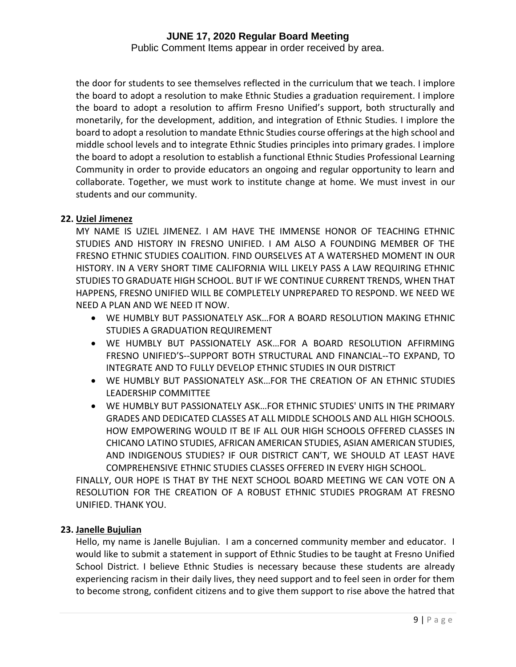Public Comment Items appear in order received by area.

the door for students to see themselves reflected in the curriculum that we teach. I implore the board to adopt a resolution to make Ethnic Studies a graduation requirement. I implore the board to adopt a resolution to affirm Fresno Unified's support, both structurally and monetarily, for the development, addition, and integration of Ethnic Studies. I implore the board to adopt a resolution to mandate Ethnic Studies course offerings at the high school and middle school levels and to integrate Ethnic Studies principles into primary grades. I implore the board to adopt a resolution to establish a functional Ethnic Studies Professional Learning Community in order to provide educators an ongoing and regular opportunity to learn and collaborate. Together, we must work to institute change at home. We must invest in our students and our community.

#### **22. Uziel Jimenez**

MY NAME IS UZIEL JIMENEZ. I AM HAVE THE IMMENSE HONOR OF TEACHING ETHNIC STUDIES AND HISTORY IN FRESNO UNIFIED. I AM ALSO A FOUNDING MEMBER OF THE FRESNO ETHNIC STUDIES COALITION. FIND OURSELVES AT A WATERSHED MOMENT IN OUR HISTORY. IN A VERY SHORT TIME CALIFORNIA WILL LIKELY PASS A LAW REQUIRING ETHNIC STUDIES TO GRADUATE HIGH SCHOOL. BUT IF WE CONTINUE CURRENT TRENDS, WHEN THAT HAPPENS, FRESNO UNIFIED WILL BE COMPLETELY UNPREPARED TO RESPOND. WE NEED WE NEED A PLAN AND WE NEED IT NOW.

- WE HUMBLY BUT PASSIONATELY ASK…FOR A BOARD RESOLUTION MAKING ETHNIC STUDIES A GRADUATION REQUIREMENT
- WE HUMBLY BUT PASSIONATELY ASK…FOR A BOARD RESOLUTION AFFIRMING FRESNO UNIFIED'S--SUPPORT BOTH STRUCTURAL AND FINANCIAL--TO EXPAND, TO INTEGRATE AND TO FULLY DEVELOP ETHNIC STUDIES IN OUR DISTRICT
- WE HUMBLY BUT PASSIONATELY ASK…FOR THE CREATION OF AN ETHNIC STUDIES LEADERSHIP COMMITTEE
- WE HUMBLY BUT PASSIONATELY ASK…FOR ETHNIC STUDIES' UNITS IN THE PRIMARY GRADES AND DEDICATED CLASSES AT ALL MIDDLE SCHOOLS AND ALL HIGH SCHOOLS. HOW EMPOWERING WOULD IT BE IF ALL OUR HIGH SCHOOLS OFFERED CLASSES IN CHICANO LATINO STUDIES, AFRICAN AMERICAN STUDIES, ASIAN AMERICAN STUDIES, AND INDIGENOUS STUDIES? IF OUR DISTRICT CAN'T, WE SHOULD AT LEAST HAVE COMPREHENSIVE ETHNIC STUDIES CLASSES OFFERED IN EVERY HIGH SCHOOL.

FINALLY, OUR HOPE IS THAT BY THE NEXT SCHOOL BOARD MEETING WE CAN VOTE ON A RESOLUTION FOR THE CREATION OF A ROBUST ETHNIC STUDIES PROGRAM AT FRESNO UNIFIED. THANK YOU.

### **23. Janelle Bujulian**

Hello, my name is Janelle Bujulian. I am a concerned community member and educator. I would like to submit a statement in support of Ethnic Studies to be taught at Fresno Unified School District. I believe Ethnic Studies is necessary because these students are already experiencing racism in their daily lives, they need support and to feel seen in order for them to become strong, confident citizens and to give them support to rise above the hatred that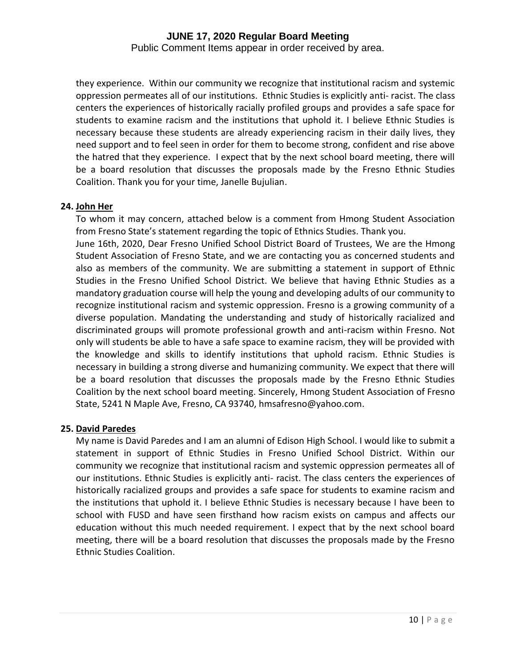Public Comment Items appear in order received by area.

they experience. Within our community we recognize that institutional racism and systemic oppression permeates all of our institutions. Ethnic Studies is explicitly anti- racist. The class centers the experiences of historically racially profiled groups and provides a safe space for students to examine racism and the institutions that uphold it. I believe Ethnic Studies is necessary because these students are already experiencing racism in their daily lives, they need support and to feel seen in order for them to become strong, confident and rise above the hatred that they experience. I expect that by the next school board meeting, there will be a board resolution that discusses the proposals made by the Fresno Ethnic Studies Coalition. Thank you for your time, Janelle Bujulian.

#### **24. John Her**

To whom it may concern, attached below is a comment from Hmong Student Association from Fresno State's statement regarding the topic of Ethnics Studies. Thank you.

June 16th, 2020, Dear Fresno Unified School District Board of Trustees, We are the Hmong Student Association of Fresno State, and we are contacting you as concerned students and also as members of the community. We are submitting a statement in support of Ethnic Studies in the Fresno Unified School District. We believe that having Ethnic Studies as a mandatory graduation course will help the young and developing adults of our community to recognize institutional racism and systemic oppression. Fresno is a growing community of a diverse population. Mandating the understanding and study of historically racialized and discriminated groups will promote professional growth and anti-racism within Fresno. Not only will students be able to have a safe space to examine racism, they will be provided with the knowledge and skills to identify institutions that uphold racism. Ethnic Studies is necessary in building a strong diverse and humanizing community. We expect that there will be a board resolution that discusses the proposals made by the Fresno Ethnic Studies Coalition by the next school board meeting. Sincerely, Hmong Student Association of Fresno State, 5241 N Maple Ave, Fresno, CA 93740, hmsafresno@yahoo.com.

#### **25. David Paredes**

My name is David Paredes and I am an alumni of Edison High School. I would like to submit a statement in support of Ethnic Studies in Fresno Unified School District. Within our community we recognize that institutional racism and systemic oppression permeates all of our institutions. Ethnic Studies is explicitly anti- racist. The class centers the experiences of historically racialized groups and provides a safe space for students to examine racism and the institutions that uphold it. I believe Ethnic Studies is necessary because I have been to school with FUSD and have seen firsthand how racism exists on campus and affects our education without this much needed requirement. I expect that by the next school board meeting, there will be a board resolution that discusses the proposals made by the Fresno Ethnic Studies Coalition.